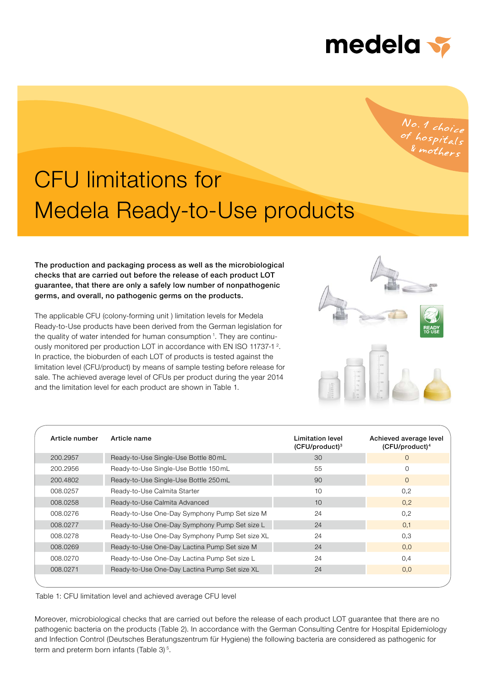

# No.1 choice<br>of hospitals<br>& mothers

## Medela Ready-to-Use products CFU limitations for

The production and packaging process as well as the microbiological checks that are carried out before the release of each product LOT guarantee, that there are only a safely low number of nonpathogenic germs, and overall, no pathogenic germs on the products.

The applicable CFU (colony-forming unit ) limitation levels for Medela Ready-to-Use products have been derived from the German legislation for the quality of water intended for human consumption <sup>1</sup>. They are continuously monitored per production LOT in accordance with EN ISO 11737-1<sup>2</sup>. In practice, the bioburden of each LOT of products is tested against the limitation level (CFU/product) by means of sample testing before release for sale. The achieved average level of CFUs per product during the year 2014 and the limitation level for each product are shown in Table 1.



| Article number | Article name                                   | Limitation level<br>$(CFU/product)^3$ | Achieved average level<br>(CFU/product) <sup>4</sup> |
|----------------|------------------------------------------------|---------------------------------------|------------------------------------------------------|
| 200.2957       | Ready-to-Use Single-Use Bottle 80 mL           | 30                                    | $\Omega$                                             |
| 200.2956       | Ready-to-Use Single-Use Bottle 150 mL          | 55                                    | $\Omega$                                             |
| 200.4802       | Ready-to-Use Single-Use Bottle 250 mL          | 90                                    | $\Omega$                                             |
| 008.0257       | Ready-to-Use Calmita Starter                   | 10                                    | 0,2                                                  |
| 008.0258       | Ready-to-Use Calmita Advanced                  | 10                                    | 0.2                                                  |
| 008.0276       | Ready-to-Use One-Day Symphony Pump Set size M  | 24                                    | 0,2                                                  |
| 008.0277       | Ready-to-Use One-Day Symphony Pump Set size L  | 24                                    | 0.1                                                  |
| 008.0278       | Ready-to-Use One-Day Symphony Pump Set size XL | 24                                    | 0,3                                                  |
| 008.0269       | Ready-to-Use One-Day Lactina Pump Set size M   | 24                                    | 0.0                                                  |
| 008.0270       | Ready-to-Use One-Day Lactina Pump Set size L   | 24                                    | 0,4                                                  |
| 008.0271       | Ready-to-Use One-Day Lactina Pump Set size XL  | 24                                    | 0.0                                                  |
|                |                                                |                                       |                                                      |

Table 1: CFU limitation level and achieved average CFU level

Moreover, microbiological checks that are carried out before the release of each product LOT guarantee that there are no pathogenic bacteria on the products (Table 2). In accordance with the German Consulting Centre for Hospital Epidemiology and Infection Control (Deutsches Beratungszentrum für Hygiene) the following bacteria are considered as pathogenic for term and preterm born infants (Table 3)<sup>5</sup>.